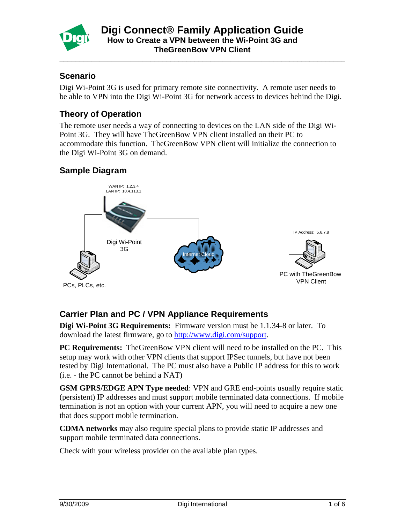

\_\_\_\_\_\_\_\_\_\_\_\_\_\_\_\_\_\_\_\_\_\_\_\_\_\_\_\_\_\_\_\_\_\_\_\_\_\_\_\_\_\_\_\_\_\_\_\_\_\_\_\_\_\_\_\_\_\_\_\_\_\_\_\_\_\_\_\_\_\_\_\_

#### **Scenario**

Digi Wi-Point 3G is used for primary remote site connectivity. A remote user needs to be able to VPN into the Digi Wi-Point 3G for network access to devices behind the Digi.

## **Theory of Operation**

The remote user needs a way of connecting to devices on the LAN side of the Digi Wi-Point 3G. They will have TheGreenBow VPN client installed on their PC to accommodate this function. TheGreenBow VPN client will initialize the connection to the Digi Wi-Point 3G on demand.

#### **Sample Diagram**



## **Carrier Plan and PC / VPN Appliance Requirements**

**Digi Wi-Point 3G Requirements:** Firmware version must be 1.1.34-8 or later. To download the latest firmware, go to [http://www.digi.com/support.](http://www.digi.com/support)

**PC Requirements:** TheGreenBow VPN client will need to be installed on the PC. This setup may work with other VPN clients that support IPSec tunnels, but have not been tested by Digi International. The PC must also have a Public IP address for this to work (i.e. - the PC cannot be behind a NAT)

**GSM GPRS/EDGE APN Type needed**: VPN and GRE end-points usually require static (persistent) IP addresses and must support mobile terminated data connections. If mobile termination is not an option with your current APN, you will need to acquire a new one that does support mobile termination.

**CDMA networks** may also require special plans to provide static IP addresses and support mobile terminated data connections.

Check with your wireless provider on the available plan types.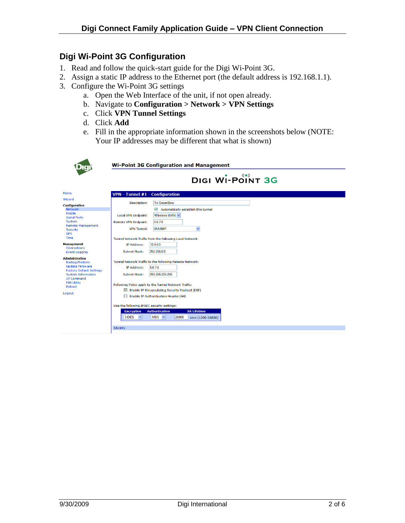# **Digi Wi-Point 3G Configuration**

- 1. Read and follow the quick-start guide for the Digi Wi-Point 3G.
- 2. Assign a static IP address to the Ethernet port (the default address is 192.168.1.1).
- 3. Configure the Wi-Point 3G settings
	- a. Open the Web Interface of the unit, if not open already.
	- b. Navigate to **Configuration > Network > VPN Settings**
	- c. Click **VPN Tunnel Settings**
	- d. Click **Add**
	- e. Fill in the appropriate information shown in the screenshots below (NOTE: Your IP addresses may be different that what is shown)

|                                                           | <b>Wi-Point 3G Configuration and Management</b>                   |  |  |  |
|-----------------------------------------------------------|-------------------------------------------------------------------|--|--|--|
|                                                           | DIGI WI-POINT 3G                                                  |  |  |  |
| Home                                                      | VPN - Tunnel #1 - Configuration                                   |  |  |  |
| Wizard                                                    |                                                                   |  |  |  |
| <b>Configuration</b>                                      | <b>To GreenBow</b><br><b>Description:</b>                         |  |  |  |
| <b>Network</b><br>Mobile                                  | ▽<br>Automatically establish this tunnel                          |  |  |  |
| <b>Serial Ports</b>                                       | Wireless WAN<br><b>Local VPN Endpoint:</b>                        |  |  |  |
| System                                                    | 5.6.7.8<br><b>Remote VPN Endpoint:</b>                            |  |  |  |
| <b>Remote Management</b><br><b>Security</b><br><b>GPS</b> | $\checkmark$<br><b>ISAKMP</b><br><b>VPN Tunnel:</b>               |  |  |  |
| Time                                                      | Tunnel Network Traffic from the following Local Network:          |  |  |  |
| <b>Management</b>                                         | 10.4.0.0<br>IP Address:                                           |  |  |  |
| Connections<br><b>Event Logging</b>                       | 255,255,0.0<br>Subnet Mask:                                       |  |  |  |
| <b>Administration</b>                                     |                                                                   |  |  |  |
| Backup/Restore                                            | Tunnel Network Traffic to the following Remote Network:           |  |  |  |
| <b>Update Firmware</b><br><b>Factory Default Settings</b> | 5.6.7.8<br>IP Address:                                            |  |  |  |
| <b>System Information</b><br><b>AT Command</b>            | 255.255.255.255<br>Subnet Mask:                                   |  |  |  |
| <b>PIN Utility</b><br>Reboot                              | Following Policy apply to the Tunnel Network Traffic:             |  |  |  |
|                                                           | Enable IP Encapsulating Security Payload (ESP)                    |  |  |  |
| Logout                                                    | Enable IP Authentication Header (AH)                              |  |  |  |
|                                                           | Use the following IPSEC security settings:                        |  |  |  |
|                                                           | <b>SA Lifetime</b><br><b>Authentication</b><br><b>Encryption</b>  |  |  |  |
|                                                           | 3-DES<br>$\checkmark$<br>$MD5 \sim$<br>28800<br>secs (1200-28800) |  |  |  |
|                                                           | Identity                                                          |  |  |  |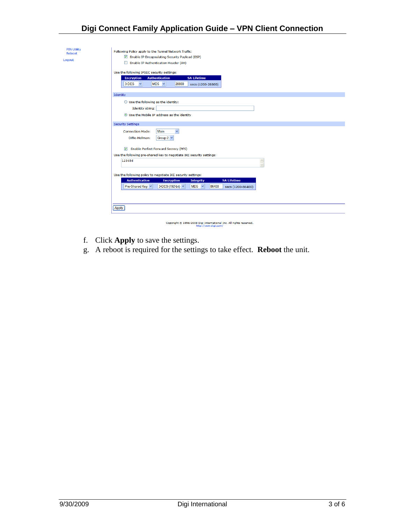# **Digi Connect Family Application Guide – VPN Client Connection**

| <b>PIN Utility</b><br>Reboot<br>Logout | Following Policy apply to the Tunnel Network Traffic:<br>Enable IP Encapsulating Security Payload (ESP)<br>Enable IP Authentication Header (AH)<br>ш<br>Use the following IPSEC security settings:<br><b>Encryption</b><br><b>Authentication</b><br><b>SA Lifetime</b><br>3-DES<br>$\checkmark$<br>$MD5 \sim$<br>28800<br>secs (1200-28800) |
|----------------------------------------|---------------------------------------------------------------------------------------------------------------------------------------------------------------------------------------------------------------------------------------------------------------------------------------------------------------------------------------------|
|                                        | Identity<br>$\bigcirc$ Use the following as the identity:<br><b>Identity string:</b><br>⊙ Use the Mobile IP address as the identity                                                                                                                                                                                                         |
|                                        | <b>Security Settings</b>                                                                                                                                                                                                                                                                                                                    |
|                                        | <b>Connection Mode:</b><br>Main<br>$\checkmark$<br>Group $2 \vee$<br>Diffie-Hellman:                                                                                                                                                                                                                                                        |
|                                        | $\overline{\mathbf{v}}$<br>Enable Perfect Forward Secrecy (PFS)                                                                                                                                                                                                                                                                             |
|                                        | Use the following pre-shared key to negotiate IKE security settings:                                                                                                                                                                                                                                                                        |
|                                        | 123456<br>$\overline{\phantom{a}}$<br>$\overline{\mathbf{v}}$                                                                                                                                                                                                                                                                               |
|                                        | Use the following policy to negotiate IKE security settings:                                                                                                                                                                                                                                                                                |
|                                        | <b>SA Lifetime</b><br><b>Authentication</b><br><b>Encryption</b><br><b>Integrity</b>                                                                                                                                                                                                                                                        |
|                                        | Pre-Shared Key<br>3-DES (192-bit) v<br>$MD5 \sim$<br>86400<br>secs (1200-86400)                                                                                                                                                                                                                                                             |
|                                        |                                                                                                                                                                                                                                                                                                                                             |
|                                        | Apply                                                                                                                                                                                                                                                                                                                                       |
|                                        | Copyright @ 1996-2008 Digi International Inc. All rights reserved.<br>http://www.digi.com/                                                                                                                                                                                                                                                  |

- f. Click **Apply** to save the settings.
- g. A reboot is required for the settings to take effect. **Reboot** the unit.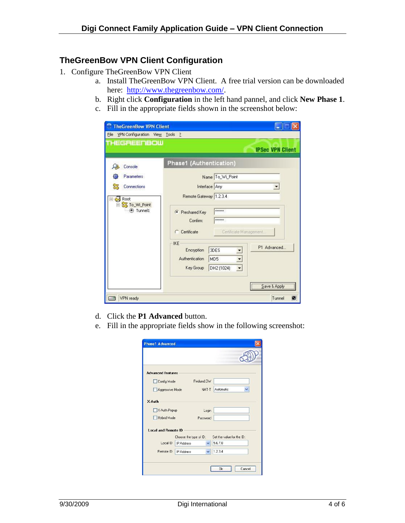#### **TheGreenBow VPN Client Configuration**

- 1. Configure TheGreenBow VPN Client
	- a. Install TheGreenBow VPN Client. A free trial version can be downloaded here: [http://www.thegreenbow.com/.](http://www.thegreenbow.com/)
	- b. Right click **Configuration** in the left hand pannel, and click **New Phase 1**.
	- c. Fill in the appropriate fields shown in the screenshot below:

| VPN Configuration View Tools ?<br>File |                                                                                                                          |
|----------------------------------------|--------------------------------------------------------------------------------------------------------------------------|
| THEGREENBOW                            | <b>IPSec VPN Client</b>                                                                                                  |
| Console                                | Phase1 (Authentication)                                                                                                  |
| Parameters                             | Name To_Wi_Point                                                                                                         |
| Connections                            | Interface Any                                                                                                            |
| Root<br>To_Wi_Point<br>tunnel1         | Remote Gateway 1.2.3.4<br>xxxxxx<br>Freshared Key<br>Confirm:<br>xxxxxx<br>Certificate Management<br>Certificate<br>C    |
|                                        | IKE<br>P1 Advanced<br>3DES<br>Encryption<br>Authentication<br>MD <sub>5</sub><br>DH2 (1024)<br>Key Group<br>Save & Apply |

- d. Click the **P1 Advanced** button.
- e. Fill in the appropriate fields show in the following screenshot:

| <b>Phase1 Advanced</b>                    |                                    |                           |
|-------------------------------------------|------------------------------------|---------------------------|
|                                           |                                    |                           |
| <b>Advanced features</b>                  |                                    |                           |
| Config Mode                               | Redund.GW                          |                           |
| Aggressive Mode                           | NAT-T                              | Automatic<br>v            |
| X-Auth                                    |                                    |                           |
| X-Auth Popup                              | Login                              |                           |
| Hybrid Mode<br><b>Local and Remote ID</b> | Password<br>Choose the type of ID: | Set the value for the ID: |
| Local ID                                  | <b>IP</b> Address                  | 5.6.7.8                   |
| Remote ID                                 | <b>IP Address</b><br>$\checkmark$  | 1.2.3.4                   |
|                                           |                                    | Cancel<br>Ωk              |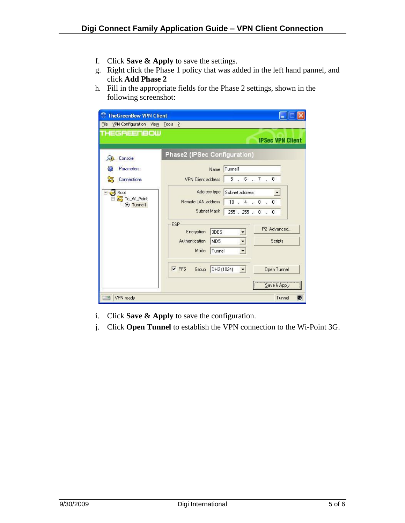- f. Click **Save & Apply** to save the settings.
- g. Right click the Phase 1 policy that was added in the left hand pannel, and click **Add Phase 2**
- h. Fill in the appropriate fields for the Phase 2 settings, shown in the following screenshot:

| THEGREENBOW                                           | VPN Configuration View Tools ?                                                                                                                                     |
|-------------------------------------------------------|--------------------------------------------------------------------------------------------------------------------------------------------------------------------|
|                                                       | <b>IPSec VPN Client</b>                                                                                                                                            |
| Console                                               | Phase2 (IPSec Configuration)                                                                                                                                       |
| Parameters                                            | Tunnel1<br>Name                                                                                                                                                    |
| Connections                                           | 5.6.7.8<br><b>VPN Client address</b>                                                                                                                               |
| $\exists$ Root<br><b>B</b> To_Wi_Point<br>(e) Tunnel1 | Address type<br>Subnet address<br>Remote LAN address<br>$10 \t 4 \t 0 \t 0$<br>Subnet Mask<br>255.255.0.0                                                          |
|                                                       | ESP<br>P2 Advanced<br>3DES<br>Encryption<br>Authentication<br>$\overline{\phantom{a}}$<br>Scripts<br>MD <sub>5</sub><br>$\overline{\phantom{a}}$<br>Mode<br>Tunnel |
|                                                       | $\overline{V}$ PFS<br>DH2 (1024)<br>Open Tunnel<br>Group<br>$\blacksquare$                                                                                         |

- i. Click **Save & Apply** to save the configuration.
- j. Click **Open Tunnel** to establish the VPN connection to the Wi-Point 3G.